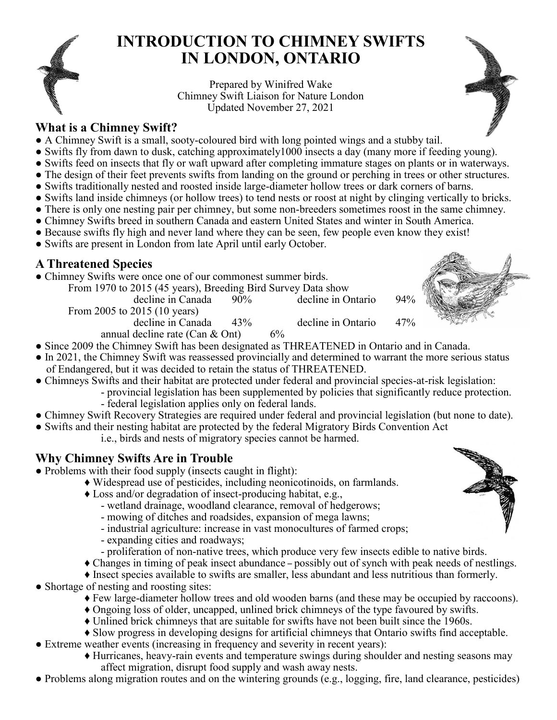

# **INTRODUCTION TO CHIMNEY SWIFTS IN LONDON, ONTARIO**

Prepared by Winifred Wake Chimney Swift Liaison for Nature London Updated November 27, 2021

### **What is a Chimney Swift?**

- A Chimney Swift is a small, sooty-coloured bird with long pointed wings and a stubby tail.
- Swifts fly from dawn to dusk, catching approximately1000 insects a day (many more if feeding young).
- Swifts feed on insects that fly or waft upward after completing immature stages on plants or in waterways.
- The design of their feet prevents swifts from landing on the ground or perching in trees or other structures.
- Swifts traditionally nested and roosted inside large-diameter hollow trees or dark corners of barns.
- Swifts land inside chimneys (or hollow trees) to tend nests or roost at night by clinging vertically to bricks.
- There is only one nesting pair per chimney, but some non-breeders sometimes roost in the same chimney. ● Chimney Swifts breed in southern Canada and eastern United States and winter in South America.
- Because swifts fly high and never land where they can be seen, few people even know they exist!
- Swifts are present in London from late April until early October.

# **A Threatened Species**

• Chimney Swifts were once one of our commonest summer birds.

From 1970 to 2015 (45 years), Breeding Bird Survey Data show

decline in Canada 90% decline in Ontario 94% From 2005 to 2015 (10 years)

decline in Canada 43% decline in Ontario 47%



annual decline rate (Can  $&$  Ont) 6%

- Since 2009 the Chimney Swift has been designated as THREATENED in Ontario and in Canada.
- In 2021, the Chimney Swift was reassessed provincially and determined to warrant the more serious status of Endangered, but it was decided to retain the status of THREATENED.
- Chimneys Swifts and their habitat are protected under federal and provincial species-at-risk legislation:
	- provincial legislation has been supplemented by policies that significantly reduce protection.
	- federal legislation applies only on federal lands.
- Chimney Swift Recovery Strategies are required under federal and provincial legislation (but none to date).
- Swifts and their nesting habitat are protected by the federal Migratory Birds Convention Act i.e., birds and nests of migratory species cannot be harmed.

# **Why Chimney Swifts Are in Trouble**

- Problems with their food supply (insects caught in flight):
	- ♦ Widespread use of pesticides, including neonicotinoids, on farmlands.
	- ♦ Loss and/or degradation of insect-producing habitat, e.g.,
		- wetland drainage, woodland clearance, removal of hedgerows;
		- mowing of ditches and roadsides, expansion of mega lawns;
		- industrial agriculture: increase in vast monocultures of farmed crops;
		- expanding cities and roadways;
		- proliferation of non-native trees, which produce very few insects edible to native birds.
	- ♦ Changes in timing of peak insect abundance possibly out of synch with peak needs of nestlings.
	- ♦ Insect species available to swifts are smaller, less abundant and less nutritious than formerly.
- Shortage of nesting and roosting sites:
	- ♦ Few large-diameter hollow trees and old wooden barns (and these may be occupied by raccoons).
	- ♦ Ongoing loss of older, uncapped, unlined brick chimneys of the type favoured by swifts.
	- ♦ Unlined brick chimneys that are suitable for swifts have not been built since the 1960s.
	- ♦ Slow progress in developing designs for artificial chimneys that Ontario swifts find acceptable.
- Extreme weather events (increasing in frequency and severity in recent years):
	- ♦ Hurricanes, heavy-rain events and temperature swings during shoulder and nesting seasons may affect migration, disrupt food supply and wash away nests.
- Problems along migration routes and on the wintering grounds (e.g., logging, fire, land clearance, pesticides)